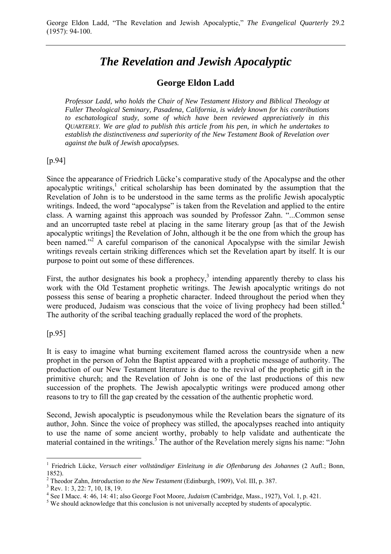# *The Revelation and Jewish Apocalyptic*

## **George Eldon Ladd**

*Professor Ladd, who holds the Chair of New Testament History and Biblical Theology at Fuller Theological Seminary, Pasadena, California, is widely known for his contributions to eschatological study, some of which have been reviewed appreciatively in this QUARTERLY. We are glad to publish this article from his pen, in which he undertakes to establish the distinctiveness and superiority of the New Testament Book of Revelation over against the bulk of Jewish apocalypses.* 

### [p.94]

Since the appearance of Friedrich Lücke's comparative study of the Apocalypse and the other apocalyptic writings, $<sup>1</sup>$  critical scholarship has been dominated by the assumption that the</sup> Revelation of John is to be understood in the same terms as the prolific Jewish apocalyptic writings. Indeed, the word "apocalypse" is taken from the Revelation and applied to the entire class. A warning against this approach was sounded by Professor Zahn. "...Common sense and an uncorrupted taste rebel at placing in the same literary group [as that of the Jewish apocalyptic writings] the Revelation of John, although it be the one from which the group has been named."<sup>2</sup> A careful comparison of the canonical Apocalypse with the similar Jewish writings reveals certain striking differences which set the Revelation apart by itself. It is our purpose to point out some of these differences.

First, the author designates his book a prophecy,<sup>3</sup> intending apparently thereby to class his work with the Old Testament prophetic writings. The Jewish apocalyptic writings do not possess this sense of bearing a prophetic character. Indeed throughout the period when they were produced, Judaism was conscious that the voice of living prophecy had been stilled.<sup>4</sup> The authority of the scribal teaching gradually replaced the word of the prophets.

### [p.95]

 $\overline{a}$ 

It is easy to imagine what burning excitement flamed across the countryside when a new prophet in the person of John the Baptist appeared with a prophetic message of authority. The production of our New Testament literature is due to the revival of the prophetic gift in the primitive church; and the Revelation of John is one of the last productions of this new succession of the prophets. The Jewish apocalyptic writings were produced among other reasons to try to fill the gap created by the cessation of the authentic prophetic word.

Second, Jewish apocalyptic is pseudonymous while the Revelation bears the signature of its author, John. Since the voice of prophecy was stilled, the apocalypses reached into antiquity to use the name of some ancient worthy, probably to help validate and authenticate the material contained in the writings.<sup>5</sup> The author of the Revelation merely signs his name: "John

<sup>1</sup> Friedrich Lücke, *Versuch einer vollständiger Einleitung in die Oflenbarung des Johannes* (2 Aufl.; Bonn, 1852).

<sup>2</sup> Theodor Zahn, *Introduction to the New Testament* (Edinburgh, 1909), Vol. III, p. 387. 3

<sup>&</sup>lt;sup>3</sup> Rev. 1: 3, 22: 7, 10, 18, 19.

<sup>&</sup>lt;sup>4</sup> See I Macc. 4: 46, 14: 41; also George Foot Moore, *Judaism* (Cambridge, Mass., 1927), Vol. 1, p. 421.  $\frac{5 \text{ WQ}}{2}$  should geleave that this conclusion is not universally accounted by students of approachming

<sup>&</sup>lt;sup>5</sup> We should acknowledge that this conclusion is not universally accepted by students of apocalyptic.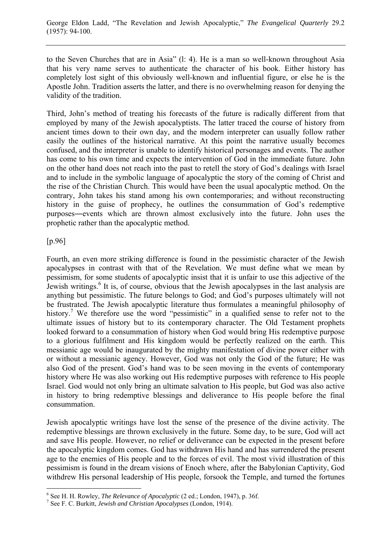to the Seven Churches that are in Asia" (l: 4). He is a man so well-known throughout Asia that his very name serves to authenticate the character of his book. Either history has completely lost sight of this obviously well-known and influential figure, or else he is the Apostle John. Tradition asserts the latter, and there is no overwhelming reason for denying the validity of the tradition.

Third, John's method of treating his forecasts of the future is radically different from that employed by many of the Jewish apocalyptists. The latter traced the course of history from ancient times down to their own day, and the modern interpreter can usually follow rather easily the outlines of the historical narrative. At this point the narrative usually becomes confused, and the interpreter is unable to identify historical personages and events. The author has come to his own time and expects the intervention of God in the immediate future. John on the other hand does not reach into the past to retell the story of God's dealings with Israel and to include in the symbolic language of apocalyptic the story of the coming of Christ and the rise of the Christian Church. This would have been the usual apocalyptic method. On the contrary, John takes his stand among his own contemporaries; and without reconstructing history in the guise of prophecy, he outlines the consummation of God's redemptive purposes―events which are thrown almost exclusively into the future. John uses the prophetic rather than the apocalyptic method.

### [p.96]

 $\overline{a}$ 

Fourth, an even more striking difference is found in the pessimistic character of the Jewish apocalypses in contrast with that of the Revelation. We must define what we mean by pessimism, for some students of apocalyptic insist that it is unfair to use this adjective of the Jewish writings.<sup>6</sup> It is, of course, obvious that the Jewish apocalypses in the last analysis are anything but pessimistic. The future belongs to God; and God's purposes ultimately will not be frustrated. The Jewish apocalyptic literature thus formulates a meaningful philosophy of history.<sup>7</sup> We therefore use the word "pessimistic" in a qualified sense to refer not to the ultimate issues of history but to its contemporary character. The Old Testament prophets looked forward to a consummation of history when God would bring His redemptive purpose to a glorious fulfilment and His kingdom would be perfectly realized on the earth. This messianic age would be inaugurated by the mighty manifestation of divine power either with or without a messianic agency. However, God was not only the God of the future; He was also God of the present. God's hand was to be seen moving in the events of contemporary history where He was also working out His redemptive purposes with reference to His people Israel. God would not only bring an ultimate salvation to His people, but God was also active in history to bring redemptive blessings and deliverance to His people before the final consummation.

Jewish apocalyptic writings have lost the sense of the presence of the divine activity. The redemptive blessings are thrown exclusively in the future. Some day, to be sure, God will act and save His people. However, no relief or deliverance can be expected in the present before the apocalyptic kingdom comes. God has withdrawn His hand and has surrendered the present age to the enemies of His people and to the forces of evil. The most vivid illustration of this pessimism is found in the dream visions of Enoch where, after the Babylonian Captivity, God withdrew His personal leadership of His people, forsook the Temple, and turned the fortunes

 $^6$  See H. H. Rowley, *The Relevance of Apocalyptic* (2 ed.; London, 1947), p. 36f.  $^7$  See E. C. Burkitt, *Lavish and Christian Apocalyptic* (1 order, 1914).

See F. C. Burkitt, *Jewish and Christian Apocalypses* (London, 1914).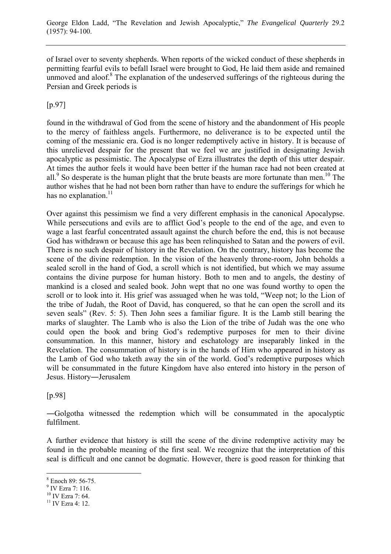of Israel over to seventy shepherds. When reports of the wicked conduct of these shepherds in permitting fearful evils to befall Israel were brought to God, He laid them aside and remained unmoved and aloof.<sup>8</sup> The explanation of the undeserved sufferings of the righteous during the Persian and Greek periods is

[p.97]

found in the withdrawal of God from the scene of history and the abandonment of His people to the mercy of faithless angels. Furthermore, no deliverance is to be expected until the coming of the messianic era. God is no longer redemptively active in history. It is because of this unrelieved despair for the present that we feel we are justified in designating Jewish apocalyptic as pessimistic. The Apocalypse of Ezra illustrates the depth of this utter despair. At times the author feels it would have been better if the human race had not been created at all.<sup>9</sup> So desperate is the human plight that the brute beasts are more fortunate than men.<sup>10</sup> The author wishes that he had not been born rather than have to endure the sufferings for which he has no explanation. $^{11}$ 

Over against this pessimism we find a very different emphasis in the canonical Apocalypse. While persecutions and evils are to afflict God's people to the end of the age, and even to wage a last fearful concentrated assault against the church before the end, this is not because God has withdrawn or because this age has been relinquished to Satan and the powers of evil. There is no such despair of history in the Revelation. On the contrary, history has become the scene of the divine redemption. In the vision of the heavenly throne-room, John beholds a sealed scroll in the hand of God, a scroll which is not identified, but which we may assume contains the divine purpose for human history. Both to men and to angels, the destiny of mankind is a closed and sealed book. John wept that no one was found worthy to open the scroll or to look into it. His grief was assuaged when he was told, "Weep not; lo the Lion of the tribe of Judah, the Root of David, has conquered, so that he can open the scroll and its seven seals" (Rev. 5: 5). Then John sees a familiar figure. It is the Lamb still bearing the marks of slaughter. The Lamb who is also the Lion of the tribe of Judah was the one who could open the book and bring God's redemptive purposes for men to their divine consummation. In this manner, history and eschatology are inseparably linked in the Revelation. The consummation of history is in the hands of Him who appeared in history as the Lamb of God who taketh away the sin of the world. God's redemptive purposes which will be consummated in the future Kingdom have also entered into history in the person of Jesus. History―Jerusalem

[p.98]

―Golgotha witnessed the redemption which will be consummated in the apocalyptic fulfilment.

A further evidence that history is still the scene of the divine redemptive activity may be found in the probable meaning of the first seal. We recognize that the interpretation of this seal is difficult and one cannot be dogmatic. However, there is good reason for thinking that

<sup>9</sup> IV Ezra 7: 116.

 $\overline{a}$ 

<sup>8</sup> Enoch 89: 56-75.

<sup>10</sup> IV Ezra 7: 64.

 $11$  IV Ezra 4: 12.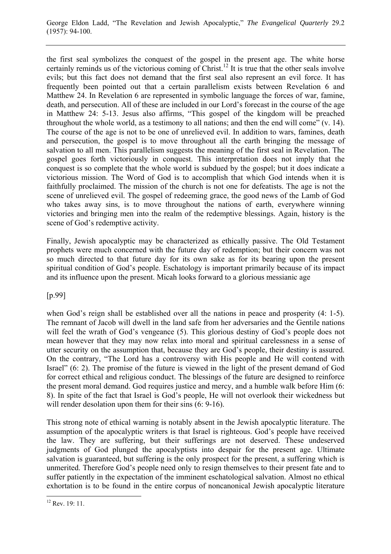the first seal symbolizes the conquest of the gospel in the present age. The white horse certainly reminds us of the victorious coming of Christ.<sup>12</sup> It is true that the other seals involve evils; but this fact does not demand that the first seal also represent an evil force. It has frequently been pointed out that a certain parallelism exists between Revelation 6 and Matthew 24. In Revelation 6 are represented in symbolic language the forces of war, famine, death, and persecution. All of these are included in our Lord's forecast in the course of the age in Matthew 24: 5-13. Jesus also affirms, "This gospel of the kingdom will be preached throughout the whole world, as a testimony to all nations; and then the end will come" (v. 14). The course of the age is not to be one of unrelieved evil. In addition to wars, famines, death and persecution, the gospel is to move throughout all the earth bringing the message of salvation to all men. This parallelism suggests the meaning of the first seal in Revelation. The gospel goes forth victoriously in conquest. This interpretation does not imply that the conquest is so complete that the whole world is subdued by the gospel; but it does indicate a victorious mission. The Word of God is to accomplish that which God intends when it is faithfully proclaimed. The mission of the church is not one for defeatists. The age is not the scene of unrelieved evil. The gospel of redeeming grace, the good news of the Lamb of God who takes away sins, is to move throughout the nations of earth, everywhere winning victories and bringing men into the realm of the redemptive blessings. Again, history is the scene of God's redemptive activity.

Finally, Jewish apocalyptic may be characterized as ethically passive. The Old Testament prophets were much concerned with the future day of redemption; but their concern was not so much directed to that future day for its own sake as for its bearing upon the present spiritual condition of God's people. Eschatology is important primarily because of its impact and its influence upon the present. Micah looks forward to a glorious messianic age

[p.99]

when God's reign shall be established over all the nations in peace and prosperity (4: 1-5). The remnant of Jacob will dwell in the land safe from her adversaries and the Gentile nations will feel the wrath of God's vengeance (5). This glorious destiny of God's people does not mean however that they may now relax into moral and spiritual carelessness in a sense of utter security on the assumption that, because they are God's people, their destiny is assured. On the contrary, "The Lord has a controversy with His people and He will contend with Israel" (6: 2). The promise of the future is viewed in the light of the present demand of God for correct ethical and religious conduct. The blessings of the future are designed to reinforce the present moral demand. God requires justice and mercy, and a humble walk before Him (6: 8). In spite of the fact that Israel is God's people, He will not overlook their wickedness but will render desolation upon them for their sins  $(6: 9-16)$ .

This strong note of ethical warning is notably absent in the Jewish apocalyptic literature. The assumption of the apocalyptic writers is that Israel is righteous. God's people have received the law. They are suffering, but their sufferings are not deserved. These undeserved judgments of God plunged the apocalyptists into despair for the present age. Ultimate salvation is guaranteed, but suffering is the only prospect for the present, a suffering which is unmerited. Therefore God's people need only to resign themselves to their present fate and to suffer patiently in the expectation of the imminent eschatological salvation. Almost no ethical exhortation is to be found in the entire corpus of noncanonical Jewish apocalyptic literature

 $\overline{a}$  $12$  Rev. 19: 11.